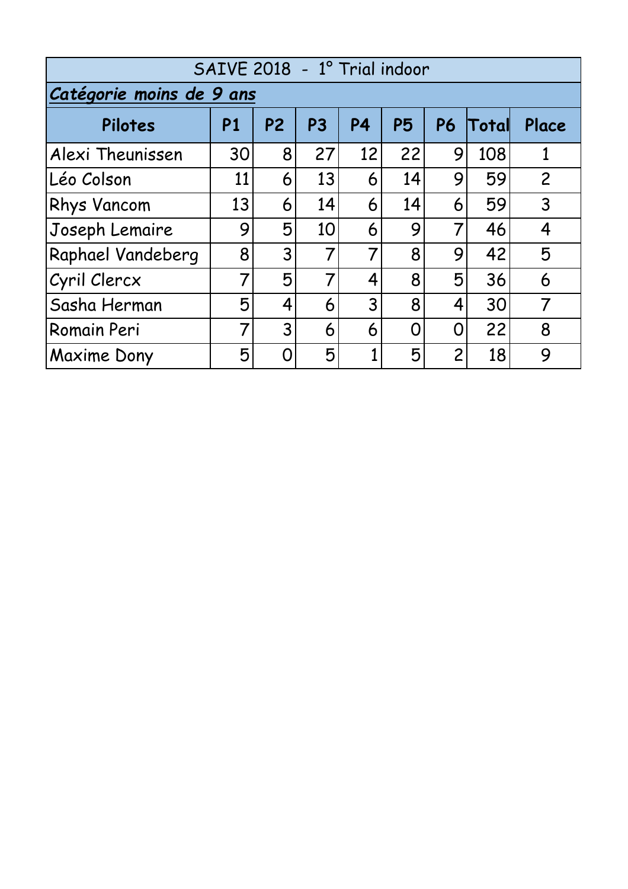| SAIVE 2018 - 1° Trial indoor |           |                |           |           |           |                |       |                |
|------------------------------|-----------|----------------|-----------|-----------|-----------|----------------|-------|----------------|
| Catégorie moins de 9 ans     |           |                |           |           |           |                |       |                |
| Pilotes                      | <b>P1</b> | P <sub>2</sub> | <b>P3</b> | <b>P4</b> | <b>P5</b> | <b>P6</b>      | Total | Place          |
| Alexi Theunissen             | 30        | 8              | 27        | 12        | 22        | 9              | 108   |                |
| lLéo Colson                  | 11        | 6              | 13        | 6         | 14        | 9              | 59    | $\overline{2}$ |
| <b>Rhys Vancom</b>           | 13        | 6              | 14        | 6         | 14        | 6              | 59    | 3              |
| Joseph Lemaire               | 9         | 5              | 10        | 6         | 9         | 7              | 46    | 4              |
| <b>Raphael Vandeberg</b>     | 8         | 3              | 7         | 7         | 8         | 9              | 42    | 5              |
| Cyril Clercx                 |           | 5              | 7         | 4         | 8         | 5              | 36    | 6              |
| Sasha Herman                 | 5         | 4              | 6         | 3         | 8         | 4              | 30    | 7              |
| Romain Peri                  | 7         | 3              | 6         | 6         | 0         | 0              | 22    | 8              |
| Maxime Dony                  | 5         | ∩              | 5         |           | 5         | $\overline{2}$ | 18    | 9              |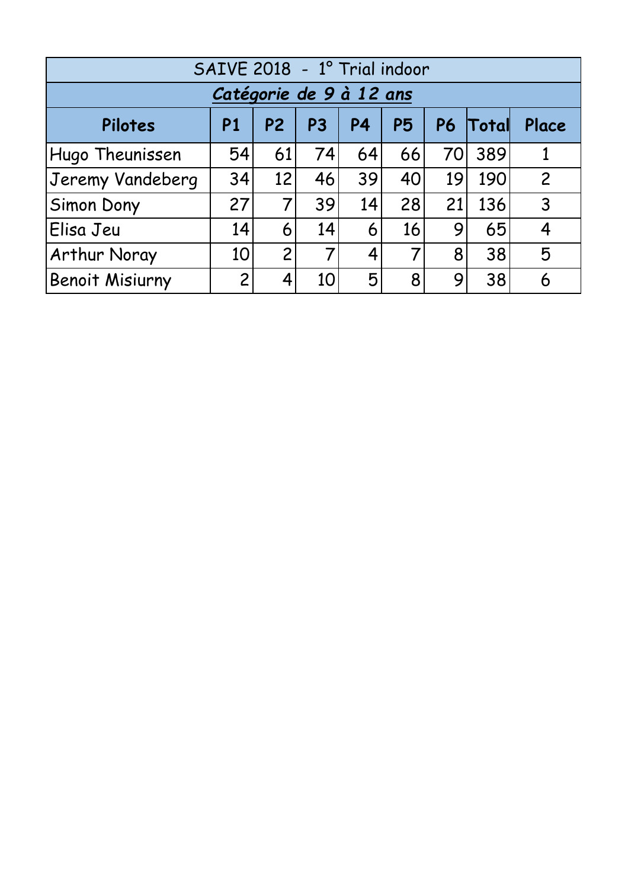| SAIVE 2018 - 1º Trial indoor |                |                |                |    |           |    |          |                |
|------------------------------|----------------|----------------|----------------|----|-----------|----|----------|----------------|
| Catégorie de 9 à 12 ans      |                |                |                |    |           |    |          |                |
| Pilotes                      | P <sub>1</sub> | P <sub>2</sub> | P <sub>3</sub> | P4 | <b>P5</b> |    | P6 Total | Place          |
| Hugo Theunissen              | 54             | 61             | 74             | 64 | 66        | 70 | 389      |                |
| Jeremy Vandeberg             | 34             | 12             | 46             | 39 | 40        | 19 | 190      | $\overline{2}$ |
| Simon Dony                   | 27             |                | 39             | 14 | 28        | 21 | 136      | 3              |
| Elisa Jeu                    | 14             | 6              | 14             | 6  | 16        | 9  | 65       | 4              |
| Arthur Noray                 | 10             | $\overline{2}$ |                | 4  |           | 8  | 38       | 5              |
| <b>Benoit Misiurny</b>       | $\overline{2}$ | 4              | 10             | 5  | 8         | 9  | 38       | 6              |